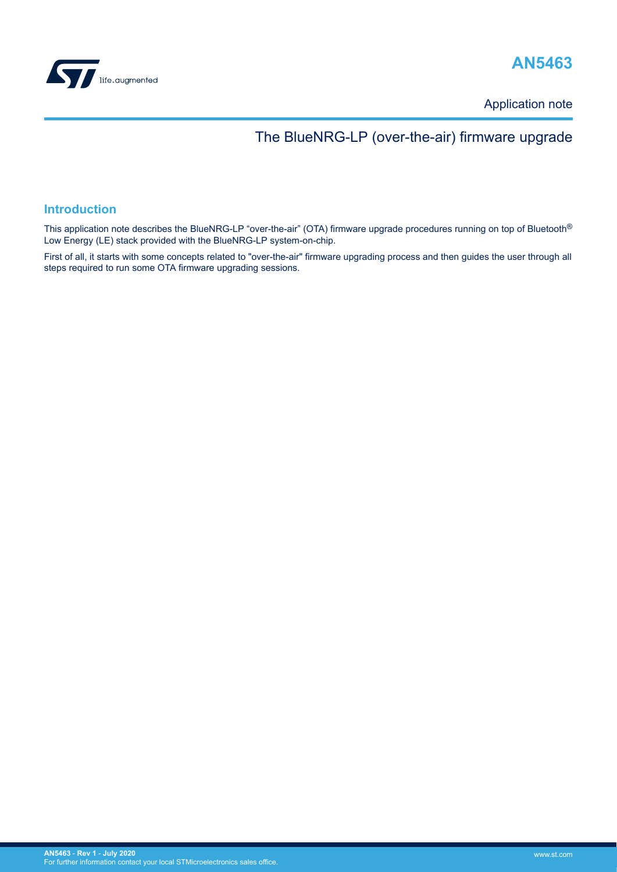

# **AN5463**

Application note

# The BlueNRG-LP (over-the-air) firmware upgrade

### **Introduction**

This application note describes the BlueNRG-LP "over-the-air" (OTA) firmware upgrade procedures running on top of Bluetooth<sup>®</sup> Low Energy (LE) stack provided with the BlueNRG-LP system-on-chip.

First of all, it starts with some concepts related to "over-the-air" firmware upgrading process and then guides the user through all steps required to run some OTA firmware upgrading sessions.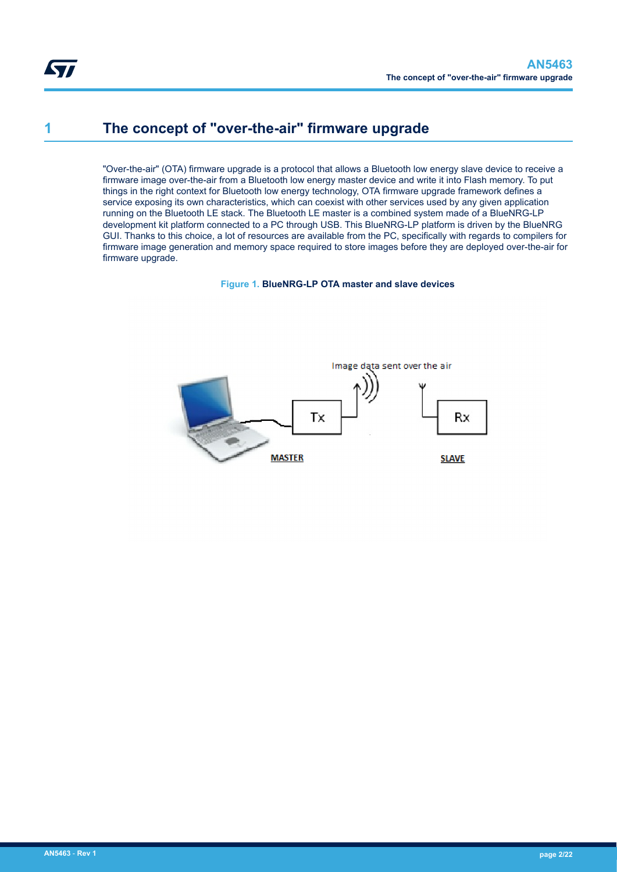# <span id="page-1-0"></span>**1 The concept of "over-the-air" firmware upgrade**

"Over-the-air" (OTA) firmware upgrade is a protocol that allows a Bluetooth low energy slave device to receive a firmware image over-the-air from a Bluetooth low energy master device and write it into Flash memory. To put things in the right context for Bluetooth low energy technology, OTA firmware upgrade framework defines a service exposing its own characteristics, which can coexist with other services used by any given application running on the Bluetooth LE stack. The Bluetooth LE master is a combined system made of a BlueNRG-LP development kit platform connected to a PC through USB. This BlueNRG-LP platform is driven by the BlueNRG GUI. Thanks to this choice, a lot of resources are available from the PC, specifically with regards to compilers for firmware image generation and memory space required to store images before they are deployed over-the-air for firmware upgrade.

**Figure 1. BlueNRG-LP OTA master and slave devices**

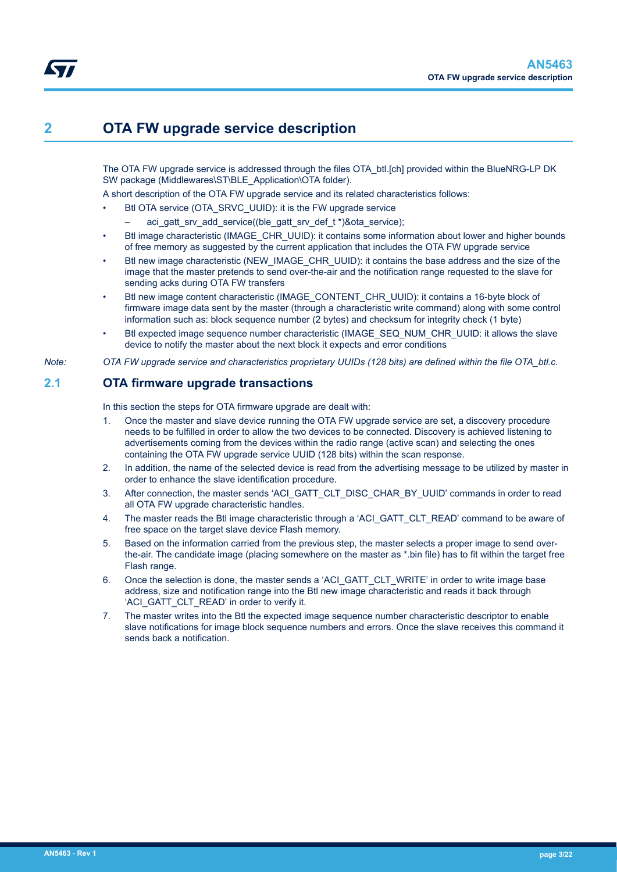# <span id="page-2-0"></span>**2 OTA FW upgrade service description**

The OTA FW upgrade service is addressed through the files OTA btl.[ch] provided within the BlueNRG-LP DK SW package (Middlewares\ST\BLE\_Application\OTA folder).

A short description of the OTA FW upgrade service and its related characteristics follows:

- Btl OTA service (OTA\_SRVC\_UUID): it is the FW upgrade service
	- aci gatt srv add service((ble gatt srv def t \*)&ota service);
- Btl image characteristic (IMAGE\_CHR\_UUID): it contains some information about lower and higher bounds of free memory as suggested by the current application that includes the OTA FW upgrade service
- Btl new image characteristic (NEW\_IMAGE\_CHR\_UUID): it contains the base address and the size of the image that the master pretends to send over-the-air and the notification range requested to the slave for sending acks during OTA FW transfers
- Btl new image content characteristic (IMAGE\_CONTENT\_CHR\_UUID): it contains a 16-byte block of firmware image data sent by the master (through a characteristic write command) along with some control information such as: block sequence number (2 bytes) and checksum for integrity check (1 byte)
- Btl expected image sequence number characteristic (IMAGE\_SEQ\_NUM\_CHR\_UUID: it allows the slave device to notify the master about the next block it expects and error conditions

*Note: OTA FW upgrade service and characteristics proprietary UUIDs (128 bits) are defined within the file OTA\_btl.c.*

## **2.1 OTA firmware upgrade transactions**

In this section the steps for OTA firmware upgrade are dealt with:

- 1. Once the master and slave device running the OTA FW upgrade service are set, a discovery procedure needs to be fulfilled in order to allow the two devices to be connected. Discovery is achieved listening to advertisements coming from the devices within the radio range (active scan) and selecting the ones containing the OTA FW upgrade service UUID (128 bits) within the scan response.
- 2. In addition, the name of the selected device is read from the advertising message to be utilized by master in order to enhance the slave identification procedure.
- 3. After connection, the master sends 'ACI\_GATT\_CLT\_DISC\_CHAR\_BY\_UUID' commands in order to read all OTA FW upgrade characteristic handles.
- 4. The master reads the Btl image characteristic through a 'ACI\_GATT\_CLT\_READ' command to be aware of free space on the target slave device Flash memory.
- 5. Based on the information carried from the previous step, the master selects a proper image to send overthe-air. The candidate image (placing somewhere on the master as \*.bin file) has to fit within the target free Flash range.
- 6. Once the selection is done, the master sends a 'ACI\_GATT\_CLT\_WRITE' in order to write image base address, size and notification range into the Btl new image characteristic and reads it back through 'ACI\_GATT\_CLT\_READ' in order to verify it.
- 7. The master writes into the Btl the expected image sequence number characteristic descriptor to enable slave notifications for image block sequence numbers and errors. Once the slave receives this command it sends back a notification.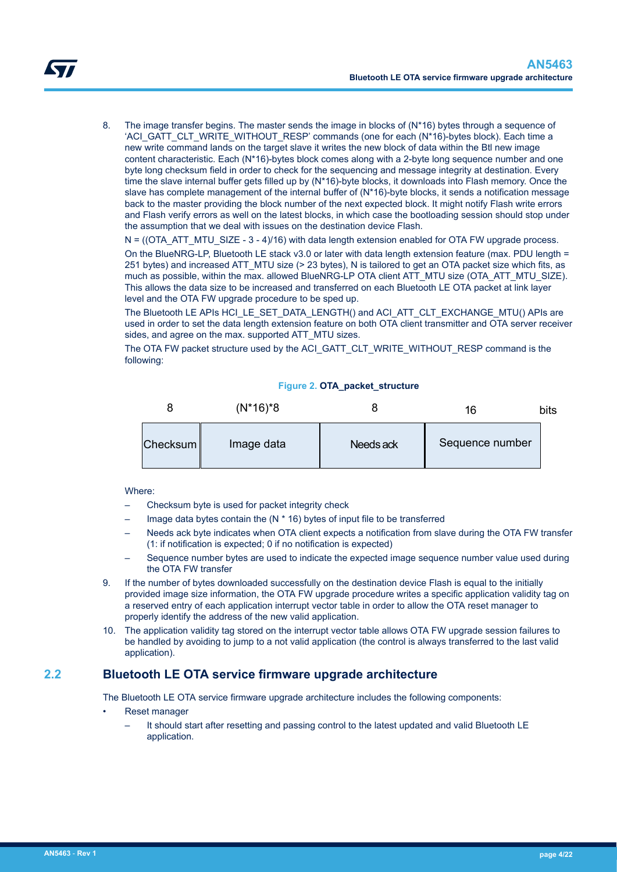<span id="page-3-0"></span>

8. The image transfer begins. The master sends the image in blocks of (N\*16) bytes through a sequence of 'ACI\_GATT\_CLT\_WRITE\_WITHOUT\_RESP' commands (one for each (N\*16)-bytes block). Each time a new write command lands on the target slave it writes the new block of data within the Btl new image content characteristic. Each (N\*16)-bytes block comes along with a 2-byte long sequence number and one byte long checksum field in order to check for the sequencing and message integrity at destination. Every time the slave internal buffer gets filled up by (N\*16)-byte blocks, it downloads into Flash memory. Once the slave has complete management of the internal buffer of (N\*16)-byte blocks, it sends a notification message back to the master providing the block number of the next expected block. It might notify Flash write errors and Flash verify errors as well on the latest blocks, in which case the bootloading session should stop under the assumption that we deal with issues on the destination device Flash.

 $N = ((OTAATT MTU-SIZE - 3 - 4)/16)$  with data length extension enabled for OTA FW upgrade process.

On the BlueNRG-LP, Bluetooth LE stack v3.0 or later with data length extension feature (max. PDU length = 251 bytes) and increased ATT\_MTU size (> 23 bytes), N is tailored to get an OTA packet size which fits, as much as possible, within the max. allowed BlueNRG-LP OTA client ATT\_MTU size (OTA\_ATT\_MTU\_SIZE). This allows the data size to be increased and transferred on each Bluetooth LE OTA packet at link layer level and the OTA FW upgrade procedure to be sped up.

The Bluetooth LE APIs HCI\_LE\_SET\_DATA\_LENGTH() and ACI\_ATT\_CLT\_EXCHANGE\_MTU() APIs are used in order to set the data length extension feature on both OTA client transmitter and OTA server receiver sides, and agree on the max. supported ATT\_MTU sizes.

The OTA FW packet structure used by the ACI\_GATT\_CLT\_WRITE\_WITHOUT\_RESP command is the following:

#### **Figure 2. OTA\_packet\_structure**



#### Where:

- Checksum byte is used for packet integrity check
- Image data bytes contain the  $(N * 16)$  bytes of input file to be transferred
- Needs ack byte indicates when OTA client expects a notification from slave during the OTA FW transfer (1: if notification is expected; 0 if no notification is expected)
- Sequence number bytes are used to indicate the expected image sequence number value used during the OTA FW transfer
- 9. If the number of bytes downloaded successfully on the destination device Flash is equal to the initially provided image size information, the OTA FW upgrade procedure writes a specific application validity tag on a reserved entry of each application interrupt vector table in order to allow the OTA reset manager to properly identify the address of the new valid application.
- 10. The application validity tag stored on the interrupt vector table allows OTA FW upgrade session failures to be handled by avoiding to jump to a not valid application (the control is always transferred to the last valid application).

## **2.2 Bluetooth LE OTA service firmware upgrade architecture**

The Bluetooth LE OTA service firmware upgrade architecture includes the following components:

- Reset manager
	- It should start after resetting and passing control to the latest updated and valid Bluetooth LE application.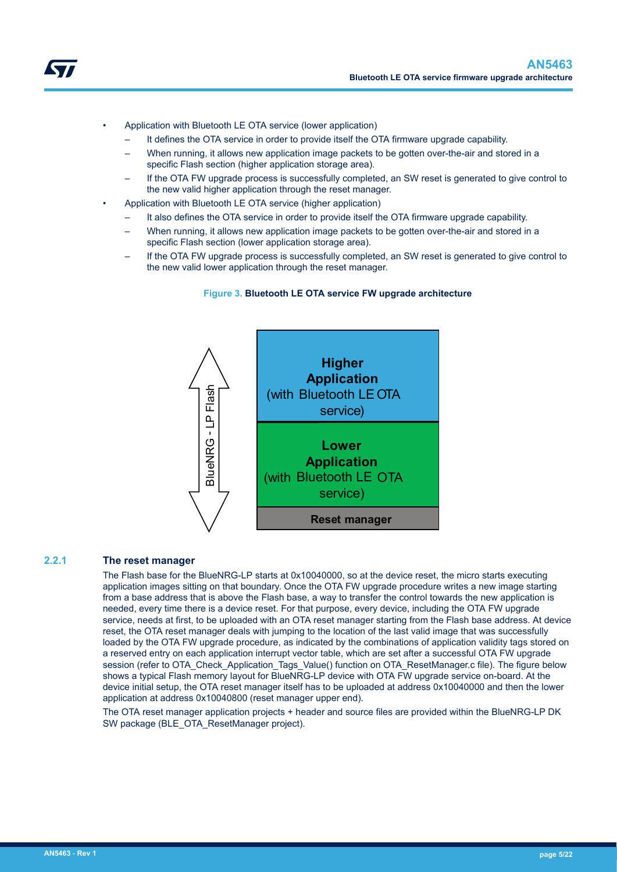<span id="page-4-0"></span>

- It defines the OTA service in order to provide itself the OTA firmware upgrade capability.
- When running, it allows new application image packets to be gotten over-the-air and stored in a specific Flash section (higher application storage area).
- If the OTA FW upgrade process is successfully completed, an SW reset is generated to give control to the new valid higher application through the reset manager.
- Application with Bluetooth LE OTA service (higher application)
	- It also defines the OTA service in order to provide itself the OTA firmware upgrade capability.
	- When running, it allows new application image packets to be gotten over-the-air and stored in a specific Flash section (lower application storage area).
	- If the OTA FW upgrade process is successfully completed, an SW reset is generated to give control to the new valid lower application through the reset manager.

#### **Figure 3. Bluetooth LE OTA service FW upgrade architecture**



#### **2.2.1 The reset manager**

The Flash base for the BlueNRG-LP starts at 0x10040000, so at the device reset, the micro starts executing application images sitting on that boundary. Once the OTA FW upgrade procedure writes a new image starting from a base address that is above the Flash base, a way to transfer the control towards the new application is needed, every time there is a device reset. For that purpose, every device, including the OTA FW upgrade service, needs at first, to be uploaded with an OTA reset manager starting from the Flash base address. At device reset, the OTA reset manager deals with jumping to the location of the last valid image that was successfully loaded by the OTA FW upgrade procedure, as indicated by the combinations of application validity tags stored on a reserved entry on each application interrupt vector table, which are set after a successful OTA FW upgrade session (refer to OTA\_Check\_Application\_Tags\_Value() function on OTA\_ResetManager.c file). The figure below shows a typical Flash memory layout for BlueNRG-LP device with OTA FW upgrade service on-board. At the device initial setup, the OTA reset manager itself has to be uploaded at address 0x10040000 and then the lower application at address 0x10040800 (reset manager upper end).

The OTA reset manager application projects + header and source files are provided within the BlueNRG-LP DK SW package (BLE\_OTA\_ResetManager project).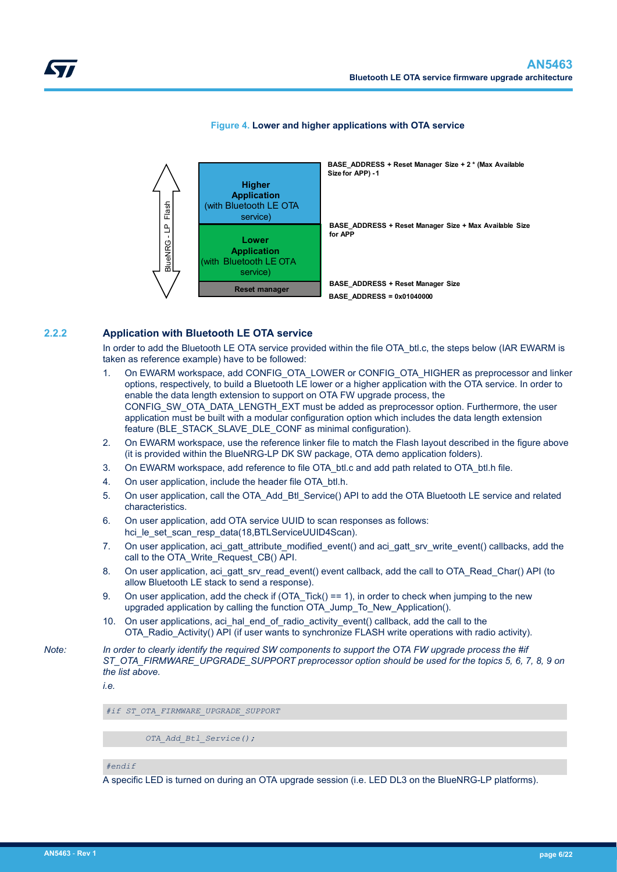<span id="page-5-0"></span>

#### **Figure 4. Lower and higher applications with OTA service**

#### **2.2.2 Application with Bluetooth LE OTA service**

In order to add the Bluetooth LE OTA service provided within the file OTA btl.c, the steps below (IAR EWARM is taken as reference example) have to be followed:

- 1. On EWARM workspace, add CONFIG\_OTA\_LOWER or CONFIG\_OTA\_HIGHER as preprocessor and linker options, respectively, to build a Bluetooth LE lower or a higher application with the OTA service. In order to enable the data length extension to support on OTA FW upgrade process, the CONFIG\_SW\_OTA\_DATA\_LENGTH\_EXT must be added as preprocessor option. Furthermore, the user application must be built with a modular configuration option which includes the data length extension feature (BLE\_STACK\_SLAVE\_DLE\_CONF as minimal configuration).
- 2. On EWARM workspace, use the reference linker file to match the Flash layout described in the figure above (it is provided within the BlueNRG-LP DK SW package, OTA demo application folders).
- 3. On EWARM workspace, add reference to file OTA btl.c and add path related to OTA btl.h file.
- 4. On user application, include the header file OTA btl.h.
- 5. On user application, call the OTA\_Add\_Btl\_Service() API to add the OTA Bluetooth LE service and related characteristics.
- 6. On user application, add OTA service UUID to scan responses as follows: hci\_le\_set\_scan\_resp\_data(18,BTLServiceUUID4Scan).
- 7. On user application, aci\_gatt\_attribute\_modified\_event() and aci\_gatt\_srv\_write\_event() callbacks, add the call to the OTA\_Write\_Request\_CB() API.
- 8. On user application, aci\_gatt\_srv\_read\_event() event callback, add the call to OTA\_Read\_Char() API (to allow Bluetooth LE stack to send a response).
- 9. On user application, add the check if (OTA Tick() == 1), in order to check when jumping to the new upgraded application by calling the function OTA\_Jump\_To\_New\_Application().
- 10. On user applications, aci hal end of radio activity event() callback, add the call to the OTA\_Radio\_Activity() API (if user wants to synchronize FLASH write operations with radio activity).

*Note: In order to clearly identify the required SW components to support the OTA FW upgrade process the #if ST\_OTA\_FIRMWARE\_UPGRADE\_SUPPORT preprocessor option should be used for the topics 5, 6, 7, 8, 9 on the list above.*

*i.e.*

*#if ST\_OTA\_FIRMWARE\_UPGRADE\_SUPPORT* 

 *OTA\_Add\_Btl\_Service();*

*#endif*

A specific LED is turned on during an OTA upgrade session (i.e. LED DL3 on the BlueNRG-LP platforms).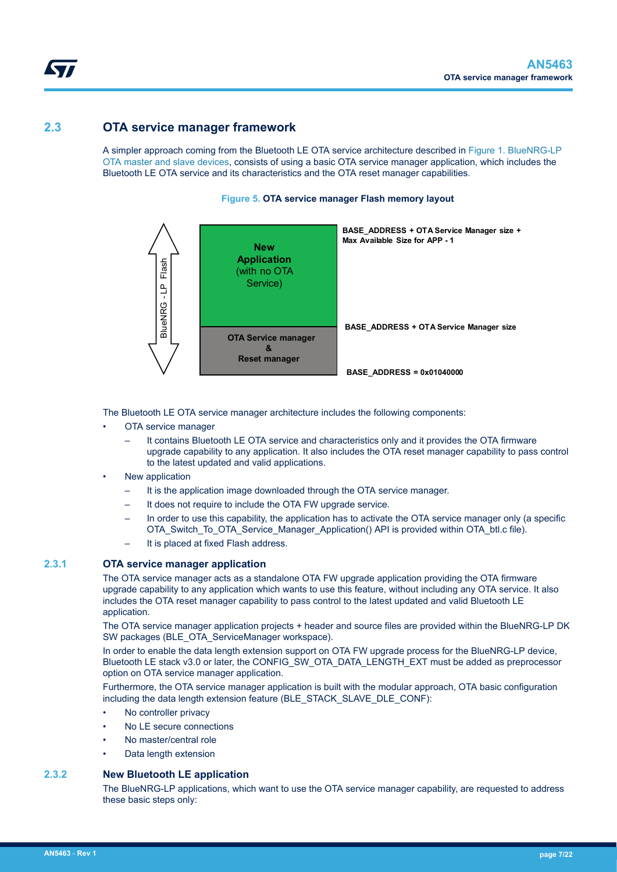## <span id="page-6-0"></span>**2.3 OTA service manager framework**

A simpler approach coming from the Bluetooth LE OTA service architecture described in [Figure 1. BlueNRG-LP](#page-1-0) [OTA master and slave devices](#page-1-0), consists of using a basic OTA service manager application, which includes the Bluetooth LE OTA service and its characteristics and the OTA reset manager capabilities.

## **Figure 5. OTA service manager Flash memory layout**



The Bluetooth LE OTA service manager architecture includes the following components:

- OTA service manager
	- It contains Bluetooth LE OTA service and characteristics only and it provides the OTA firmware upgrade capability to any application. It also includes the OTA reset manager capability to pass control to the latest updated and valid applications.
- New application
	- It is the application image downloaded through the OTA service manager.
	- It does not require to include the OTA FW upgrade service.
	- In order to use this capability, the application has to activate the OTA service manager only (a specific OTA\_Switch\_To\_OTA\_Service\_Manager\_Application() API is provided within OTA\_btl.c file).
	- It is placed at fixed Flash address.

### **2.3.1 OTA service manager application**

The OTA service manager acts as a standalone OTA FW upgrade application providing the OTA firmware upgrade capability to any application which wants to use this feature, without including any OTA service. It also includes the OTA reset manager capability to pass control to the latest updated and valid Bluetooth LE application.

The OTA service manager application projects + header and source files are provided within the BlueNRG-LP DK SW packages (BLE\_OTA\_ServiceManager workspace).

In order to enable the data length extension support on OTA FW upgrade process for the BlueNRG-LP device, Bluetooth LE stack v3.0 or later, the CONFIG\_SW\_OTA\_DATA\_LENGTH\_EXT must be added as preprocessor option on OTA service manager application.

Furthermore, the OTA service manager application is built with the modular approach, OTA basic configuration including the data length extension feature (BLE\_STACK\_SLAVE\_DLE\_CONF):

- No controller privacy
- No LE secure connections
- No master/central role
- Data length extension

### **2.3.2 New Bluetooth LE application**

The BlueNRG-LP applications, which want to use the OTA service manager capability, are requested to address these basic steps only: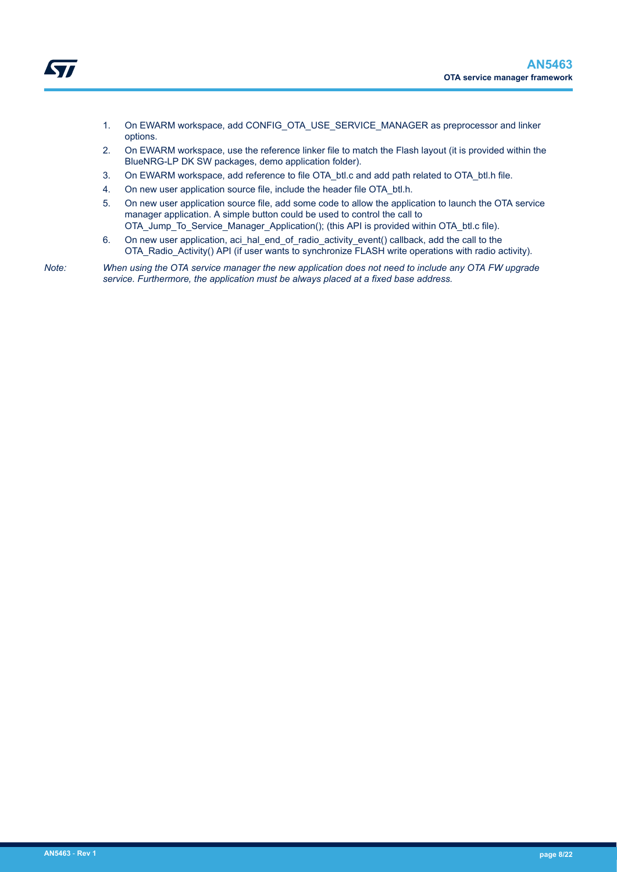- Ly/
- 1. On EWARM workspace, add CONFIG\_OTA\_USE\_SERVICE\_MANAGER as preprocessor and linker options.
- 2. On EWARM workspace, use the reference linker file to match the Flash layout (it is provided within the BlueNRG-LP DK SW packages, demo application folder).
- 3. On EWARM workspace, add reference to file OTA\_btl.c and add path related to OTA\_btl.h file.
- 4. On new user application source file, include the header file OTA btl.h.
- 5. On new user application source file, add some code to allow the application to launch the OTA service manager application. A simple button could be used to control the call to OTA Jump To Service Manager Application(); (this API is provided within OTA btl.c file).
- 6. On new user application, aci\_hal\_end\_of\_radio\_activity\_event() callback, add the call to the OTA\_Radio\_Activity() API (if user wants to synchronize FLASH write operations with radio activity).

*Note: When using the OTA service manager the new application does not need to include any OTA FW upgrade service. Furthermore, the application must be always placed at a fixed base address.*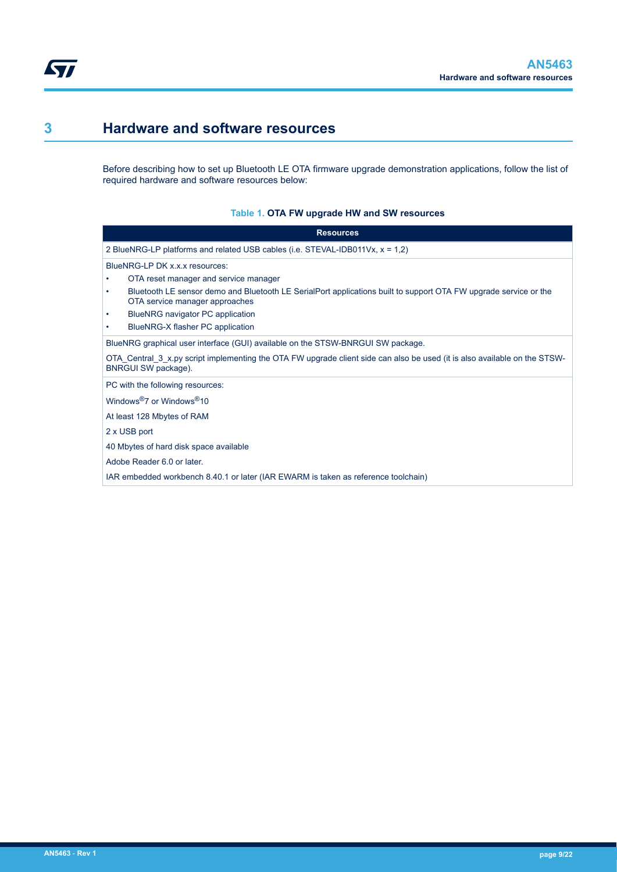<span id="page-8-0"></span>ST

# **3 Hardware and software resources**

Before describing how to set up Bluetooth LE OTA firmware upgrade demonstration applications, follow the list of required hardware and software resources below:

### **Table 1. OTA FW upgrade HW and SW resources**

|                                                   | <b>Resources</b>                                                                                                                                   |
|---------------------------------------------------|----------------------------------------------------------------------------------------------------------------------------------------------------|
|                                                   | 2 BlueNRG-LP platforms and related USB cables (i.e. $STEVAL$ -IDB011Vx, $x = 1,2$ )                                                                |
| BlueNRG-LP DK x.x.x resources:                    |                                                                                                                                                    |
|                                                   | OTA reset manager and service manager                                                                                                              |
| ٠                                                 | Bluetooth LE sensor demo and Bluetooth LE SerialPort applications built to support OTA FW upgrade service or the<br>OTA service manager approaches |
|                                                   | BlueNRG navigator PC application                                                                                                                   |
| ٠                                                 | BlueNRG-X flasher PC application                                                                                                                   |
|                                                   | BlueNRG graphical user interface (GUI) available on the STSW-BNRGUI SW package.                                                                    |
| BNRGUI SW package).                               | OTA Central 3 x.py script implementing the OTA FW upgrade client side can also be used (it is also available on the STSW-                          |
| PC with the following resources:                  |                                                                                                                                                    |
| Windows <sup>®</sup> 7 or Windows <sup>®</sup> 10 |                                                                                                                                                    |
| At least 128 Mbytes of RAM                        |                                                                                                                                                    |
| 2 x USB port                                      |                                                                                                                                                    |
|                                                   | 40 Mbytes of hard disk space available                                                                                                             |
| Adobe Reader 6.0 or later.                        |                                                                                                                                                    |
|                                                   | IAR embedded workbench 8.40.1 or later (IAR EWARM is taken as reference toolchain)                                                                 |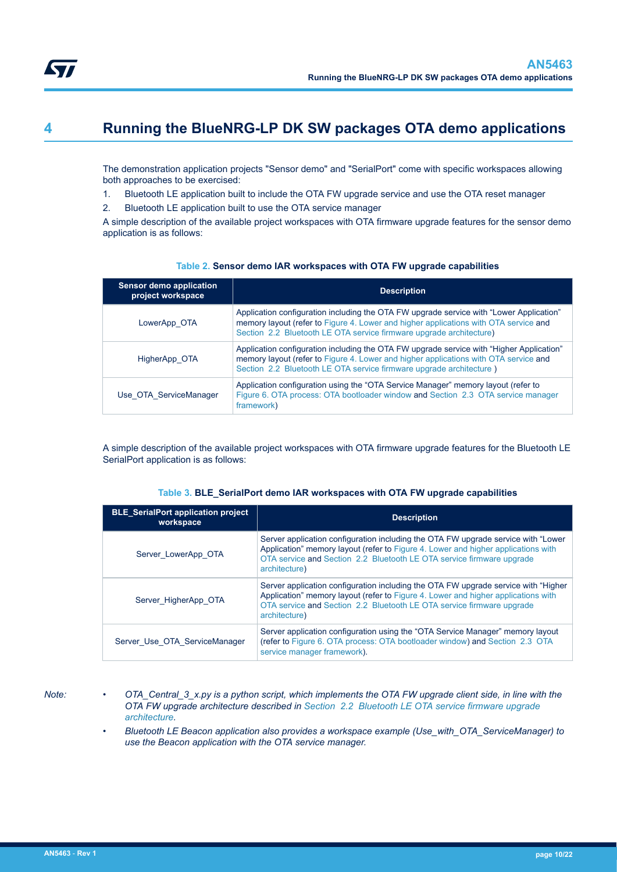<span id="page-9-0"></span>

# **4 Running the BlueNRG-LP DK SW packages OTA demo applications**

The demonstration application projects "Sensor demo" and "SerialPort" come with specific workspaces allowing both approaches to be exercised:

- 1. Bluetooth LE application built to include the OTA FW upgrade service and use the OTA reset manager
- 2. Bluetooth LE application built to use the OTA service manager

A simple description of the available project workspaces with OTA firmware upgrade features for the sensor demo application is as follows:

| <b>Sensor demo application</b><br>project workspace | <b>Description</b>                                                                                                                                                                                                                                      |
|-----------------------------------------------------|---------------------------------------------------------------------------------------------------------------------------------------------------------------------------------------------------------------------------------------------------------|
| LowerApp OTA                                        | Application configuration including the OTA FW upgrade service with "Lower Application"<br>memory layout (refer to Figure 4. Lower and higher applications with OTA service and<br>Section 2.2 Bluetooth LE OTA service firmware upgrade architecture)  |
| HigherApp OTA                                       | Application configuration including the OTA FW upgrade service with "Higher Application"<br>memory layout (refer to Figure 4. Lower and higher applications with OTA service and<br>Section 2.2 Bluetooth LE OTA service firmware upgrade architecture) |
| Use OTA ServiceManager                              | Application configuration using the "OTA Service Manager" memory layout (refer to<br>Figure 6. OTA process: OTA bootloader window and Section 2.3 OTA service manager<br>framework)                                                                     |

#### **Table 2. Sensor demo IAR workspaces with OTA FW upgrade capabilities**

A simple description of the available project workspaces with OTA firmware upgrade features for the Bluetooth LE SerialPort application is as follows:

|  | Table 3. BLE_SerialPort demo IAR workspaces with OTA FW upgrade capabilities |  |  |  |  |
|--|------------------------------------------------------------------------------|--|--|--|--|
|--|------------------------------------------------------------------------------|--|--|--|--|

| <b>BLE</b> SerialPort application project<br>workspace | <b>Description</b>                                                                                                                                                                                                                                                 |
|--------------------------------------------------------|--------------------------------------------------------------------------------------------------------------------------------------------------------------------------------------------------------------------------------------------------------------------|
| Server LowerApp OTA                                    | Server application configuration including the OTA FW upgrade service with "Lower"<br>Application" memory layout (refer to Figure 4. Lower and higher applications with<br>OTA service and Section 2.2 Bluetooth LE OTA service firmware upgrade<br>architecture)  |
| Server HigherApp OTA                                   | Server application configuration including the OTA FW upgrade service with "Higher"<br>Application" memory layout (refer to Figure 4. Lower and higher applications with<br>OTA service and Section 2.2 Bluetooth LE OTA service firmware upgrade<br>architecture) |
| Server Use OTA ServiceManager                          | Server application configuration using the "OTA Service Manager" memory layout<br>(refer to Figure 6, OTA process: OTA bootloader window) and Section 2.3 OTA<br>service manager framework).                                                                       |

- *Note: OTA\_Central\_3\_x.py is a python script, which implements the OTA FW upgrade client side, in line with the OTA FW upgrade architecture described in [Section 2.2 Bluetooth LE OTA service firmware upgrade](#page-3-0) [architecture](#page-3-0).*
	- *Bluetooth LE Beacon application also provides a workspace example (Use\_with\_OTA\_ServiceManager) to use the Beacon application with the OTA service manager.*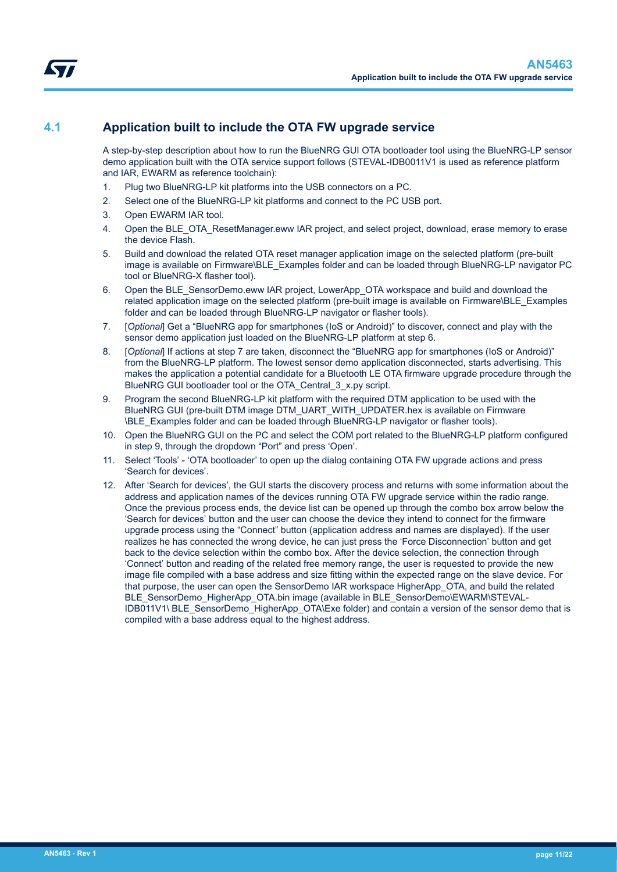## <span id="page-10-0"></span>**4.1 Application built to include the OTA FW upgrade service**

A step-by-step description about how to run the BlueNRG GUI OTA bootloader tool using the BlueNRG-LP sensor demo application built with the OTA service support follows (STEVAL-IDB0011V1 is used as reference platform and IAR, EWARM as reference toolchain):

- 1. Plug two BlueNRG-LP kit platforms into the USB connectors on a PC.
- 2. Select one of the BlueNRG-LP kit platforms and connect to the PC USB port.
- 3. Open EWARM IAR tool.
- 4. Open the BLE\_OTA\_ResetManager.eww IAR project, and select project, download, erase memory to erase the device Flash.
- 5. Build and download the related OTA reset manager application image on the selected platform (pre-built image is available on Firmware\BLE\_Examples folder and can be loaded through BlueNRG-LP navigator PC tool or BlueNRG-X flasher tool).
- 6. Open the BLE\_SensorDemo.eww IAR project, LowerApp\_OTA workspace and build and download the related application image on the selected platform (pre-built image is available on Firmware\BLE\_Examples folder and can be loaded through BlueNRG-LP navigator or flasher tools).
- 7. [*Optional*] Get a "BlueNRG app for smartphones (IoS or Android)" to discover, connect and play with the sensor demo application just loaded on the BlueNRG-LP platform at step 6.
- 8. [*Optional*] If actions at step 7 are taken, disconnect the "BlueNRG app for smartphones (IoS or Android)" from the BlueNRG-LP platform. The lowest sensor demo application disconnected, starts advertising. This makes the application a potential candidate for a Bluetooth LE OTA firmware upgrade procedure through the BlueNRG GUI bootloader tool or the OTA\_Central\_3\_x.py script.
- 9. Program the second BlueNRG-LP kit platform with the required DTM application to be used with the BlueNRG GUI (pre-built DTM image DTM\_UART\_WITH\_UPDATER.hex is available on Firmware \BLE\_Examples folder and can be loaded through BlueNRG-LP navigator or flasher tools).
- 10. Open the BlueNRG GUI on the PC and select the COM port related to the BlueNRG-LP platform configured in step 9, through the dropdown "Port" and press 'Open'.
- 11. Select 'Tools' 'OTA bootloader' to open up the dialog containing OTA FW upgrade actions and press 'Search for devices'.
- 12. After 'Search for devices', the GUI starts the discovery process and returns with some information about the address and application names of the devices running OTA FW upgrade service within the radio range. Once the previous process ends, the device list can be opened up through the combo box arrow below the 'Search for devices' button and the user can choose the device they intend to connect for the firmware upgrade process using the "Connect" button (application address and names are displayed). If the user realizes he has connected the wrong device, he can just press the 'Force Disconnection' button and get back to the device selection within the combo box. After the device selection, the connection through 'Connect' button and reading of the related free memory range, the user is requested to provide the new image file compiled with a base address and size fitting within the expected range on the slave device. For that purpose, the user can open the SensorDemo IAR workspace HigherApp\_OTA, and build the related BLE\_SensorDemo\_HigherApp\_OTA.bin image (available in BLE\_SensorDemo\EWARM\STEVAL-IDB011V1\ BLE\_SensorDemo\_HigherApp\_OTA\Exe folder) and contain a version of the sensor demo that is compiled with a base address equal to the highest address.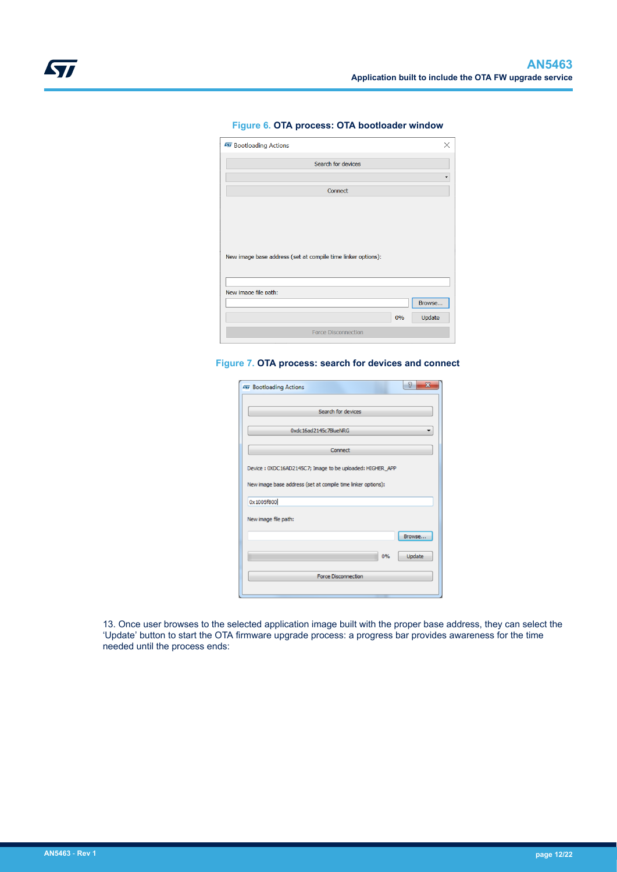<span id="page-11-0"></span>

| <b>W</b> Bootloading Actions                                 |    | ×      |
|--------------------------------------------------------------|----|--------|
|                                                              |    |        |
| Search for devices                                           |    |        |
|                                                              |    |        |
|                                                              |    |        |
| Connect                                                      |    |        |
|                                                              |    |        |
|                                                              |    |        |
|                                                              |    |        |
|                                                              |    |        |
|                                                              |    |        |
|                                                              |    |        |
| New image base address (set at compile time linker options): |    |        |
|                                                              |    |        |
|                                                              |    |        |
|                                                              |    |        |
| New image file path:                                         |    |        |
|                                                              |    | Browse |
|                                                              |    |        |
|                                                              | 0% | Update |
| <b>Force Disconnection</b>                                   |    |        |
|                                                              |    |        |
|                                                              |    |        |

#### **Figure 6. OTA process: OTA bootloader window**

#### **Figure 7. OTA process: search for devices and connect**

| <b>477 Bootloading Actions</b>                               | P<br>$\overline{\mathbf{x}}$ |
|--------------------------------------------------------------|------------------------------|
|                                                              |                              |
| Search for devices                                           |                              |
| 0xdc16ad2145c7BlueNRG                                        |                              |
| Connect                                                      |                              |
| Device: 0XDC16AD2145C7; Image to be uploaded: HIGHER_APP     |                              |
| New image base address (set at compile time linker options): |                              |
| 0x1005f800                                                   |                              |
|                                                              |                              |
| New image file path:                                         |                              |
|                                                              | Browse                       |
| 0%                                                           | Update                       |
|                                                              |                              |
| <b>Force Disconnection</b>                                   |                              |
|                                                              |                              |

13. Once user browses to the selected application image built with the proper base address, they can select the 'Update' button to start the OTA firmware upgrade process: a progress bar provides awareness for the time needed until the process ends: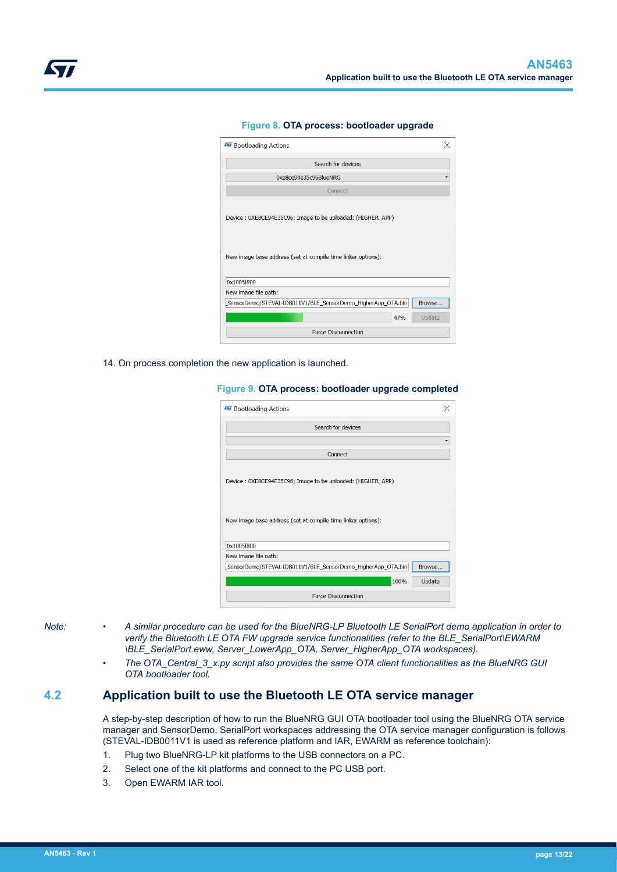<span id="page-12-0"></span>

| <b>W</b> Bootloading Actions                                 | X      |
|--------------------------------------------------------------|--------|
| Search for devices                                           |        |
| 0xe8ce94e35c96BlueNRG                                        |        |
| Connect                                                      |        |
| Device: 0XE8CE94E35C96; Image to be uploaded: (HIGHER_APP)   |        |
|                                                              |        |
| New image base address (set at compile time linker options): |        |
| 0x1005f800                                                   |        |
| New image file path:                                         |        |
| SensorDemo/STEVAL-IDB011V1/BLE_SensorDemo_HigherApp_OTA.bin  | Browse |
| 47%                                                          | Update |

#### **Figure 8. OTA process: bootloader upgrade**

14. On process completion the new application is launched.

**Figure 9. OTA process: bootloader upgrade completed**

| <b>W</b> Bootloading Actions                                                                                               |  |
|----------------------------------------------------------------------------------------------------------------------------|--|
| Search for devices                                                                                                         |  |
|                                                                                                                            |  |
| Connect                                                                                                                    |  |
| Device: 0XE8CE94E35C96; Image to be uploaded: (HIGHER_APP)<br>New image base address (set at compile time linker options): |  |
| 0x1005f800                                                                                                                 |  |
| New image file path:                                                                                                       |  |
| SensorDemo/STEVAL-IDB011V1/BLE_SensorDemo_HigherApp_OTA.bin<br>Browse                                                      |  |
| 100%<br>Update                                                                                                             |  |
| <b>Force Disconnection</b>                                                                                                 |  |

- *Note: A similar procedure can be used for the BlueNRG-LP Bluetooth LE SerialPort demo application in order to verify the Bluetooth LE OTA FW upgrade service functionalities (refer to the BLE\_SerialPort\EWARM \BLE\_SerialPort.eww, Server\_LowerApp\_OTA, Server\_HigherApp\_OTA workspaces).*
	- *The OTA\_Central\_3\_x.py script also provides the same OTA client functionalities as the BlueNRG GUI OTA bootloader tool.*

### **4.2 Application built to use the Bluetooth LE OTA service manager**

A step-by-step description of how to run the BlueNRG GUI OTA bootloader tool using the BlueNRG OTA service manager and SensorDemo, SerialPort workspaces addressing the OTA service manager configuration is follows (STEVAL-IDB0011V1 is used as reference platform and IAR, EWARM as reference toolchain):

- 1. Plug two BlueNRG-LP kit platforms to the USB connectors on a PC.
- 2. Select one of the kit platforms and connect to the PC USB port.
- 3. Open EWARM IAR tool.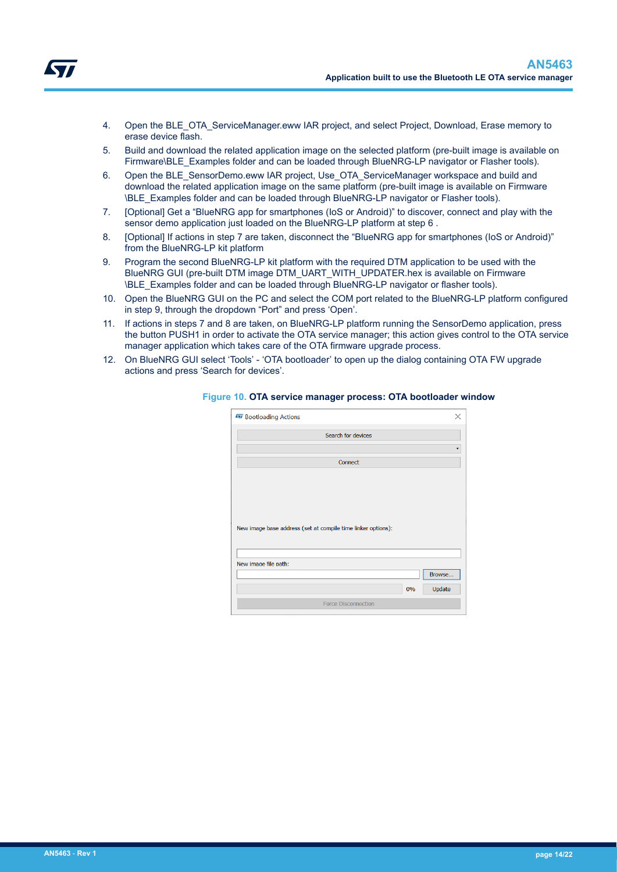- <span id="page-13-0"></span>4. Open the BLE\_OTA\_ServiceManager.eww IAR project, and select Project, Download, Erase memory to erase device flash.
- 5. Build and download the related application image on the selected platform (pre-built image is available on Firmware\BLE\_Examples folder and can be loaded through BlueNRG-LP navigator or Flasher tools).
- 6. Open the BLE\_SensorDemo.eww IAR project, Use\_OTA\_ServiceManager workspace and build and download the related application image on the same platform (pre-built image is available on Firmware \BLE\_Examples folder and can be loaded through BlueNRG-LP navigator or Flasher tools).
- 7. [Optional] Get a "BlueNRG app for smartphones (IoS or Android)" to discover, connect and play with the sensor demo application just loaded on the BlueNRG-LP platform at step 6 .
- 8. [Optional] If actions in step 7 are taken, disconnect the "BlueNRG app for smartphones (IoS or Android)" from the BlueNRG-LP kit platform
- 9. Program the second BlueNRG-LP kit platform with the required DTM application to be used with the BlueNRG GUI (pre-built DTM image DTM\_UART\_WITH\_UPDATER.hex is available on Firmware \BLE\_Examples folder and can be loaded through BlueNRG-LP navigator or flasher tools).
- 10. Open the BlueNRG GUI on the PC and select the COM port related to the BlueNRG-LP platform configured in step 9, through the dropdown "Port" and press 'Open'.
- 11. If actions in steps 7 and 8 are taken, on BlueNRG-LP platform running the SensorDemo application, press the button PUSH1 in order to activate the OTA service manager; this action gives control to the OTA service manager application which takes care of the OTA firmware upgrade process.
- 12. On BlueNRG GUI select 'Tools' 'OTA bootloader' to open up the dialog containing OTA FW upgrade actions and press 'Search for devices'.

| <b>W</b> Bootloading Actions                                 |                            |    | ×      |
|--------------------------------------------------------------|----------------------------|----|--------|
|                                                              | Search for devices         |    |        |
|                                                              |                            |    |        |
|                                                              | Connect                    |    |        |
|                                                              |                            |    |        |
|                                                              |                            |    |        |
|                                                              |                            |    |        |
|                                                              |                            |    |        |
| New image base address (set at compile time linker options): |                            |    |        |
|                                                              |                            |    |        |
|                                                              |                            |    |        |
| New image file path:                                         |                            |    |        |
|                                                              |                            |    | Browse |
|                                                              |                            | 0% | Update |
|                                                              | <b>Force Disconnection</b> |    |        |
|                                                              |                            |    |        |

#### **Figure 10. OTA service manager process: OTA bootloader window**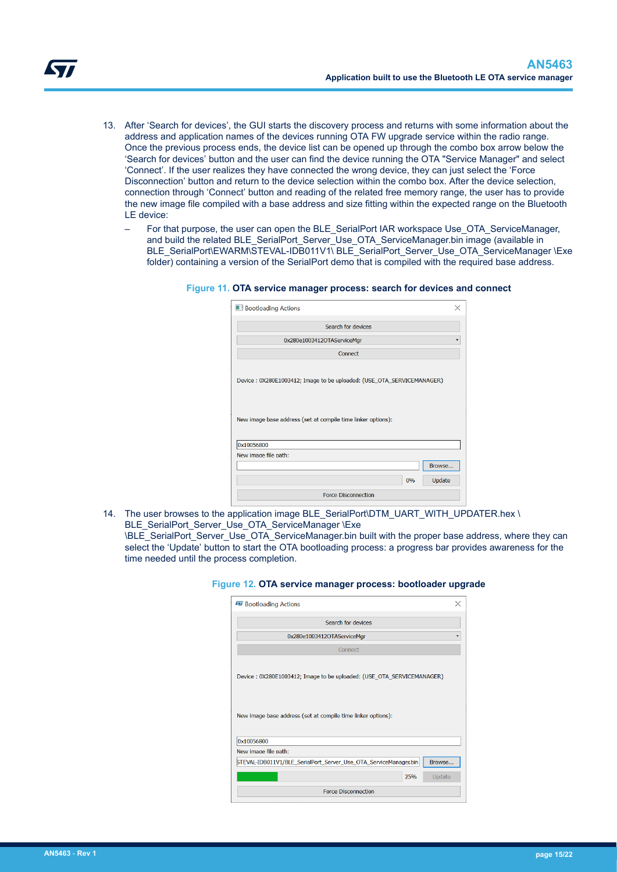- <span id="page-14-0"></span>13. After 'Search for devices', the GUI starts the discovery process and returns with some information about the address and application names of the devices running OTA FW upgrade service within the radio range. Once the previous process ends, the device list can be opened up through the combo box arrow below the 'Search for devices' button and the user can find the device running the OTA "Service Manager" and select 'Connect'. If the user realizes they have connected the wrong device, they can just select the 'Force Disconnection' button and return to the device selection within the combo box. After the device selection, connection through 'Connect' button and reading of the related free memory range, the user has to provide the new image file compiled with a base address and size fitting within the expected range on the Bluetooth LE device:
	- For that purpose, the user can open the BLE\_SerialPort IAR workspace Use\_OTA\_ServiceManager, and build the related BLE\_SerialPort\_Server\_Use\_OTA\_ServiceManager.bin image (available in BLE\_SerialPort\EWARM\STEVAL-IDB011V1\ BLE\_SerialPort\_Server\_Use\_OTA\_ServiceManager \Exe folder) containing a version of the SerialPort demo that is compiled with the required base address.

#### **Figure 11. OTA service manager process: search for devices and connect**

|                                                                                                    | Search for devices         |  |        |
|----------------------------------------------------------------------------------------------------|----------------------------|--|--------|
|                                                                                                    | 0x280e1003412OTAServiceMgr |  |        |
|                                                                                                    | Connect                    |  |        |
| Device: 0X280E1003412; Image to be uploaded: (USE_OTA_SERVICEMANAGER)                              |                            |  |        |
|                                                                                                    |                            |  |        |
|                                                                                                    |                            |  |        |
|                                                                                                    |                            |  |        |
| New image base address (set at compile time linker options):<br>0x10056800<br>New image file path: |                            |  | Browse |

14. The user browses to the application image BLE\_SerialPort\DTM\_UART\_WITH\_UPDATER.hex \ BLE\_SerialPort\_Server\_Use\_OTA\_ServiceManager \Exe

\BLE\_SerialPort\_Server\_Use\_OTA\_ServiceManager.bin built with the proper base address, where they can select the 'Update' button to start the OTA bootloading process: a progress bar provides awareness for the time needed until the process completion.

|  |  |  |  |  |  | Figure 12. OTA service manager process: bootloader upgrade |  |
|--|--|--|--|--|--|------------------------------------------------------------|--|
|--|--|--|--|--|--|------------------------------------------------------------|--|

| <b>W</b> Bootloading Actions                                                                                                          | $\times$ |
|---------------------------------------------------------------------------------------------------------------------------------------|----------|
| Search for devices                                                                                                                    |          |
| 0x280e1003412OTAServiceMgr                                                                                                            |          |
| Connect                                                                                                                               |          |
| Device: 0X280E1003412; Image to be uploaded: (USE_OTA_SERVICEMANAGER)<br>New image base address (set at compile time linker options): |          |
| 0x10056800                                                                                                                            |          |
| New image file path:                                                                                                                  |          |
| STEVAL-IDB011V1/BLE_SerialPort_Server_Use_OTA_ServiceManager.bin<br>Browse                                                            |          |
| 25%<br>Update                                                                                                                         |          |
| <b>Force Disconnection</b>                                                                                                            |          |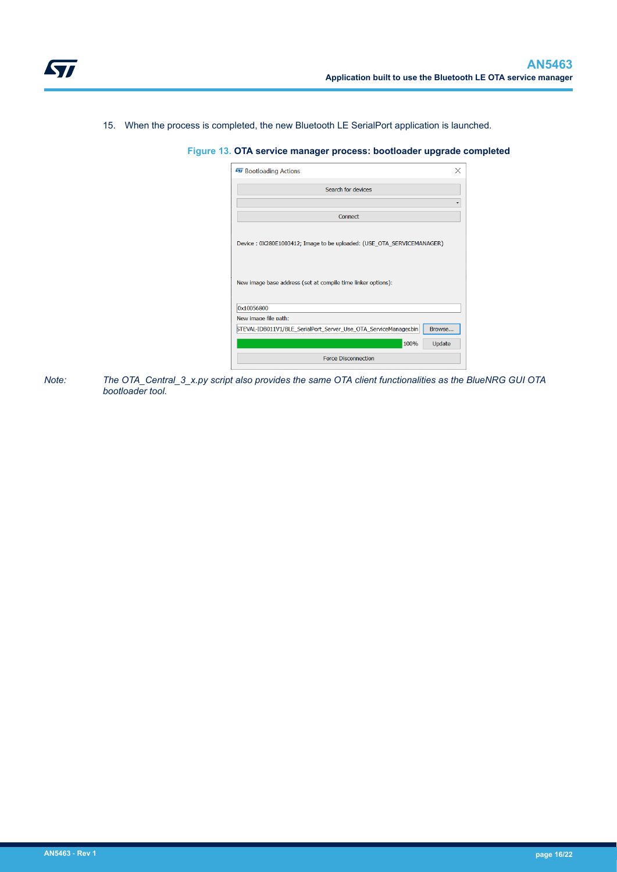<span id="page-15-0"></span>15. When the process is completed, the new Bluetooth LE SerialPort application is launched.

#### **Figure 13. OTA service manager process: bootloader upgrade completed**

| <b>W</b> Bootloading Actions                                                                                                          |  |
|---------------------------------------------------------------------------------------------------------------------------------------|--|
| Search for devices                                                                                                                    |  |
|                                                                                                                                       |  |
|                                                                                                                                       |  |
| Connect                                                                                                                               |  |
| Device: 0X280E1003412; Image to be uploaded: (USE_OTA_SERVICEMANAGER)<br>New image base address (set at compile time linker options): |  |
| 0x10056800                                                                                                                            |  |
| New image file path:                                                                                                                  |  |
| STEVAL-IDB011V1/BLE_SerialPort_Server_Use_OTA_ServiceManager.bin<br>Browse                                                            |  |
| 100%<br>Update                                                                                                                        |  |
| <b>Force Disconnection</b>                                                                                                            |  |

*Note: The OTA\_Central\_3\_x.py script also provides the same OTA client functionalities as the BlueNRG GUI OTA bootloader tool.*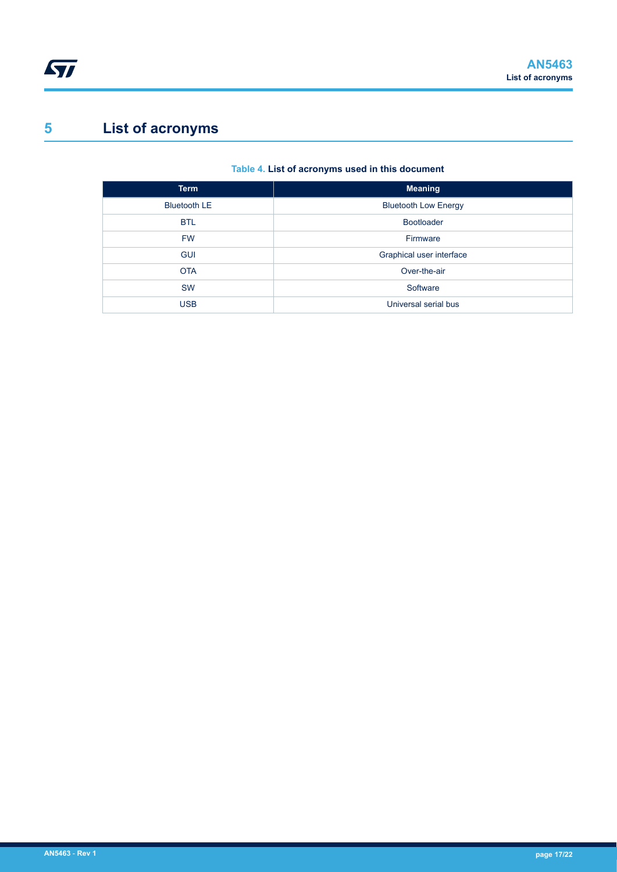# <span id="page-16-0"></span>**5 List of acronyms**

## **Table 4. List of acronyms used in this document**

| <b>Term</b>         | <b>Meaning</b>              |
|---------------------|-----------------------------|
| <b>Bluetooth LE</b> | <b>Bluetooth Low Energy</b> |
| <b>BTL</b>          | <b>Bootloader</b>           |
| <b>FW</b>           | Firmware                    |
| <b>GUI</b>          | Graphical user interface    |
| <b>OTA</b>          | Over-the-air                |
| <b>SW</b>           | Software                    |
| <b>USB</b>          | Universal serial bus        |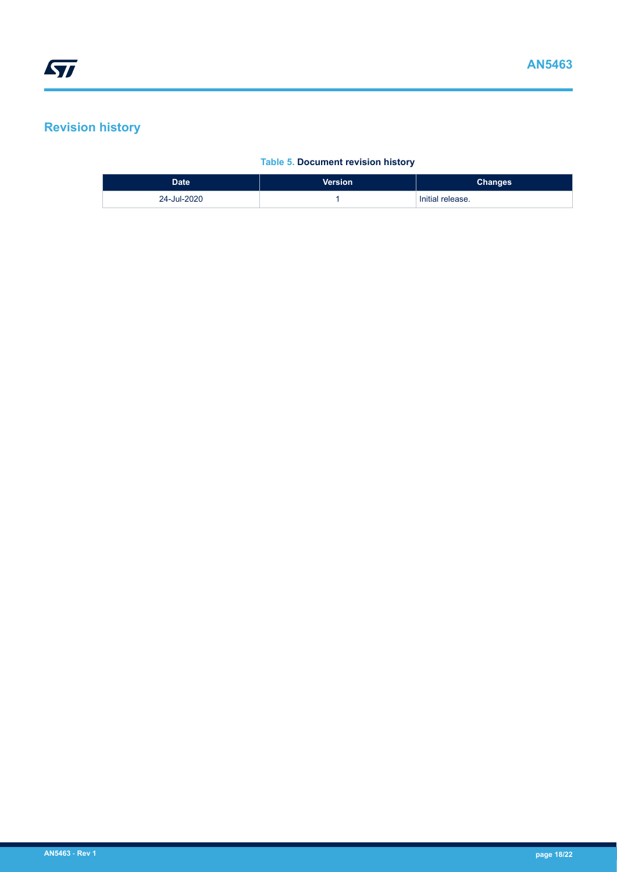# <span id="page-17-0"></span>**Revision history**

### **Table 5. Document revision history**

| <b>Date</b> | <b>Version</b> | <b>Changes</b>   |
|-------------|----------------|------------------|
| 24-Jul-2020 |                | Initial release. |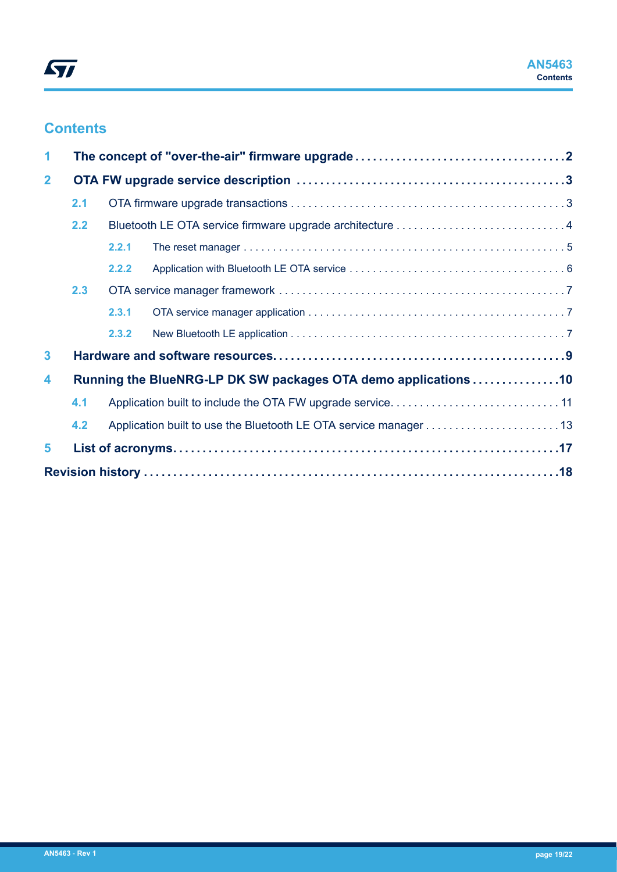# **Contents**

| 1            |     |       |                                                                |  |
|--------------|-----|-------|----------------------------------------------------------------|--|
| $\mathbf{2}$ |     |       |                                                                |  |
|              | 2.1 |       |                                                                |  |
|              | 2.2 |       |                                                                |  |
|              |     | 2.2.1 |                                                                |  |
|              |     | 2.2.2 |                                                                |  |
|              | 2.3 |       |                                                                |  |
|              |     | 2.3.1 |                                                                |  |
|              |     | 2.3.2 |                                                                |  |
| $\mathbf{3}$ |     |       |                                                                |  |
| 4            |     |       | Running the BlueNRG-LP DK SW packages OTA demo applications 10 |  |
|              | 4.1 |       |                                                                |  |
|              | 4.2 |       |                                                                |  |
| 5            |     |       |                                                                |  |
|              |     |       |                                                                |  |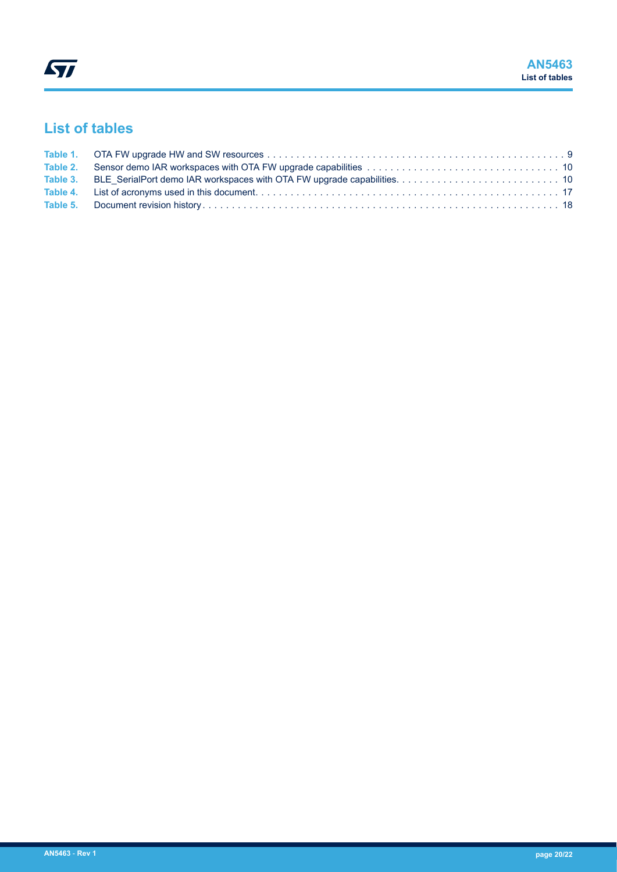# **List of tables**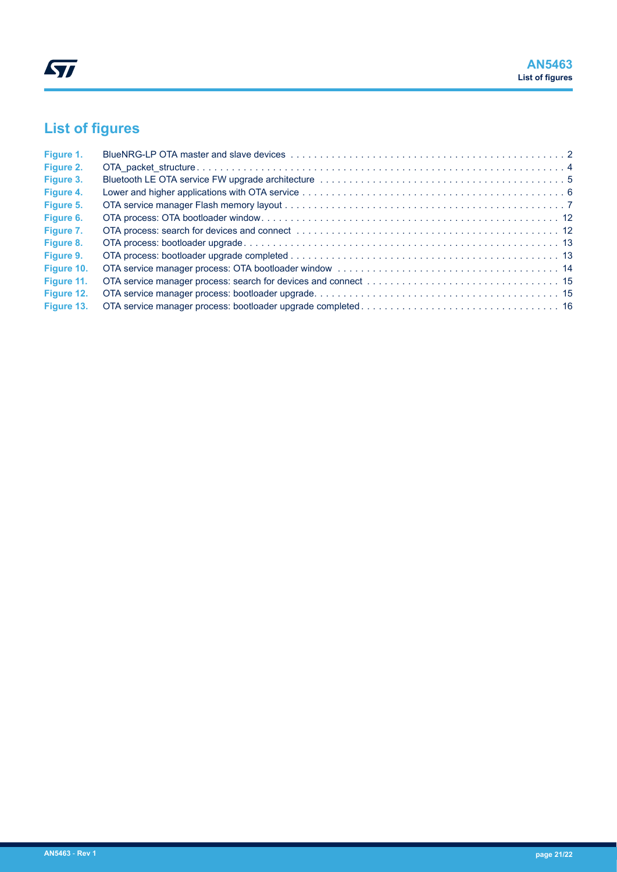# **List of figures**

| Figure 1.  |  |
|------------|--|
| Figure 2.  |  |
| Figure 3.  |  |
| Figure 4.  |  |
| Figure 5.  |  |
| Figure 6.  |  |
| Figure 7.  |  |
| Figure 8.  |  |
| Figure 9.  |  |
| Figure 10. |  |
| Figure 11. |  |
| Figure 12. |  |
| Figure 13. |  |